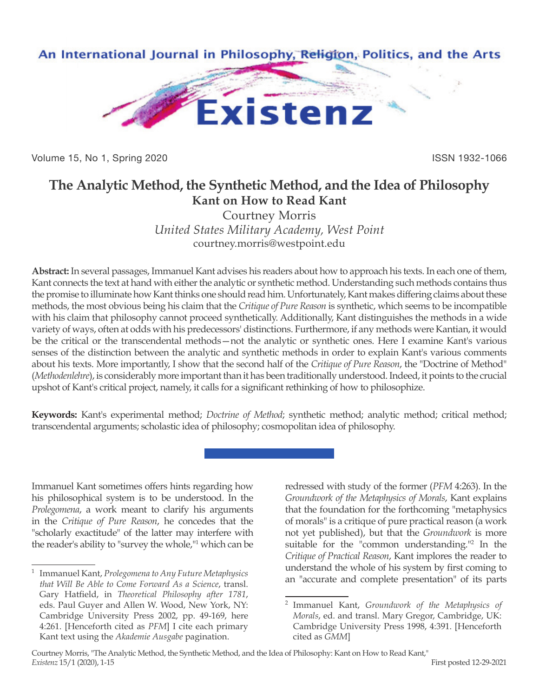

Volume 15, No 1, Spring 2020 **ISSN 1932-1066** 

# **The Analytic Method, the Synthetic Method, and the Idea of Philosophy Kant on How to Read Kant**

Courtney Morris *United States Military Academy, West Point* courtney.morris@westpoint.edu

**Abstract:** In several passages, Immanuel Kant advises his readers about how to approach his texts. In each one of them, Kant connects the text at hand with either the analytic or synthetic method. Understanding such methods contains thus the promise to illuminate how Kant thinks one should read him. Unfortunately, Kant makes differing claims about these methods, the most obvious being his claim that the *Critique of Pure Reason* is synthetic, which seems to be incompatible with his claim that philosophy cannot proceed synthetically. Additionally, Kant distinguishes the methods in a wide variety of ways, often at odds with his predecessors' distinctions. Furthermore, if any methods were Kantian, it would be the critical or the transcendental methods—not the analytic or synthetic ones. Here I examine Kant's various senses of the distinction between the analytic and synthetic methods in order to explain Kant's various comments about his texts. More importantly, I show that the second half of the *Critique of Pure Reason*, the "Doctrine of Method" (*Methodenlehre*), is considerably more important than it has been traditionally understood. Indeed, it points to the crucial upshot of Kant's critical project, namely, it calls for a significant rethinking of how to philosophize.

**Keywords:** Kant's experimental method; *Doctrine of Method*; synthetic method; analytic method; critical method; transcendental arguments; scholastic idea of philosophy; cosmopolitan idea of philosophy.

Immanuel Kant sometimes offers hints regarding how his philosophical system is to be understood. In the *Prolegomena*, a work meant to clarify his arguments in the *Critique of Pure Reason*, he concedes that the "scholarly exactitude" of the latter may interfere with the reader's ability to "survey the whole,"1 which can be redressed with study of the former (*PFM* 4:263). In the *Groundwork of the Metaphysics of Morals*, Kant explains that the foundation for the forthcoming "metaphysics of morals" is a critique of pure practical reason (a work not yet published), but that the *Groundwork* is more suitable for the "common understanding."<sup>2</sup> In the *Critique of Practical Reason*, Kant implores the reader to understand the whole of his system by first coming to an "accurate and complete presentation" of its parts

<sup>1</sup> Immanuel Kant, *Prolegomena to Any Future Metaphysics that Will Be Able to Come Forward As a Science*, transl. Gary Hatfield, in *Theoretical Philosophy after 1781*, eds. Paul Guyer and Allen W. Wood, New York, NY: Cambridge University Press 2002, pp. 49-169, here 4:261. [Henceforth cited as *PFM*] I cite each primary Kant text using the *Akademie Ausgabe* pagination.

<sup>2</sup> Immanuel Kant, *Groundwork of the Metaphysics of Morals*, ed. and transl. Mary Gregor, Cambridge, UK: Cambridge University Press 1998, 4:391. [Henceforth cited as *GMM*]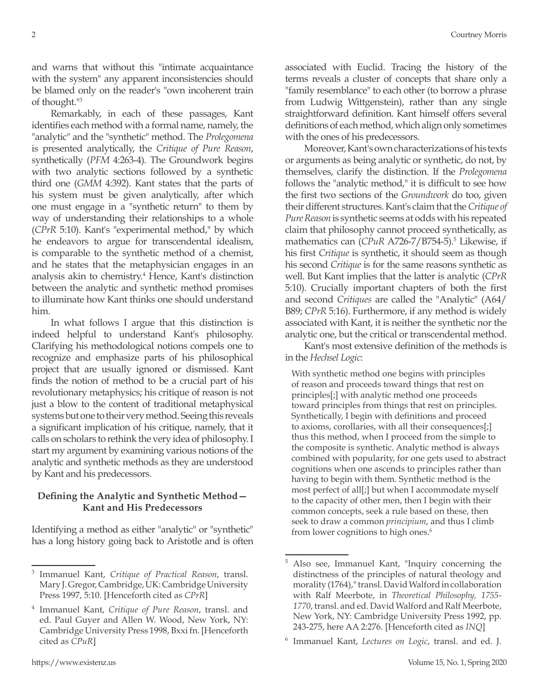and warns that without this "intimate acquaintance with the system" any apparent inconsistencies should be blamed only on the reader's "own incoherent train of thought."3

Remarkably, in each of these passages, Kant identifies each method with a formal name, namely, the "analytic" and the "synthetic" method. The *Prolegomena*  is presented analytically, the *Critique of Pure Reason*, synthetically (*PFM* 4:263-4). The Groundwork begins with two analytic sections followed by a synthetic third one (*GMM* 4:392). Kant states that the parts of his system must be given analytically, after which one must engage in a "synthetic return" to them by way of understanding their relationships to a whole (*CPrR* 5:10). Kant's "experimental method," by which he endeavors to argue for transcendental idealism, is comparable to the synthetic method of a chemist, and he states that the metaphysician engages in an analysis akin to chemistry.<sup>4</sup> Hence, Kant's distinction between the analytic and synthetic method promises to illuminate how Kant thinks one should understand him.

In what follows I argue that this distinction is indeed helpful to understand Kant's philosophy. Clarifying his methodological notions compels one to recognize and emphasize parts of his philosophical project that are usually ignored or dismissed. Kant finds the notion of method to be a crucial part of his revolutionary metaphysics; his critique of reason is not just a blow to the content of traditional metaphysical systems but one to their very method. Seeing this reveals a significant implication of his critique, namely, that it calls on scholars to rethink the very idea of philosophy. I start my argument by examining various notions of the analytic and synthetic methods as they are understood by Kant and his predecessors.

## **Defining the Analytic and Synthetic Method— Kant and His Predecessors**

Identifying a method as either "analytic" or "synthetic" has a long history going back to Aristotle and is often associated with Euclid. Tracing the history of the terms reveals a cluster of concepts that share only a "family resemblance" to each other (to borrow a phrase from Ludwig Wittgenstein), rather than any single straightforward definition. Kant himself offers several definitions of each method, which align only sometimes with the ones of his predecessors.

Moreover, Kant's own characterizations of his texts or arguments as being analytic or synthetic, do not, by themselves, clarify the distinction. If the *Prolegomena* follows the "analytic method," it is difficult to see how the first two sections of the *Groundwork* do too, given their different structures. Kant's claim that the *Critique of Pure Reason* is synthetic seems at odds with his repeated claim that philosophy cannot proceed synthetically, as mathematics can (CPuR A726-7/B754-5).<sup>5</sup> Likewise, if his first *Critique* is synthetic, it should seem as though his second *Critique* is for the same reasons synthetic as well. But Kant implies that the latter is analytic (*CPrR* 5:10). Crucially important chapters of both the first and second *Critiques* are called the "Analytic" (A64/ B89; *CPrR* 5:16). Furthermore, if any method is widely associated with Kant, it is neither the synthetic nor the analytic one, but the critical or transcendental method.

Kant's most extensive definition of the methods is in the *Hechsel Logic*:

With synthetic method one begins with principles of reason and proceeds toward things that rest on principles[;] with analytic method one proceeds toward principles from things that rest on principles. Synthetically, I begin with definitions and proceed to axioms, corollaries, with all their consequences[;] thus this method, when I proceed from the simple to the composite is synthetic. Analytic method is always combined with popularity, for one gets used to abstract cognitions when one ascends to principles rather than having to begin with them. Synthetic method is the most perfect of all[;] but when I accommodate myself to the capacity of other men, then I begin with their common concepts, seek a rule based on these, then seek to draw a common *principium*, and thus I climb from lower cognitions to high ones.<sup>6</sup>

<sup>3</sup> Immanuel Kant, *Critique of Practical Reason*, transl. Mary J. Gregor, Cambridge, UK: Cambridge University Press 1997, 5:10. [Henceforth cited as *CPrR*]

<sup>4</sup> Immanuel Kant, *Critique of Pure Reason*, transl. and ed. Paul Guyer and Allen W. Wood, New York, NY: Cambridge University Press 1998, Bxxi fn. [Henceforth cited as *CPuR*]

<sup>5</sup> Also see, Immanuel Kant, "Inquiry concerning the distinctness of the principles of natural theology and morality (1764)," transl. David Walford in collaboration with Ralf Meerbote, in *Theoretical Philosophy, 1755- 1770*, transl. and ed. David Walford and Ralf Meerbote, New York, NY: Cambridge University Press 1992, pp. 243-275, here AA 2:276. [Henceforth cited as *INQ*]

<sup>6</sup> Immanuel Kant, *Lectures on Logic*, transl. and ed. J.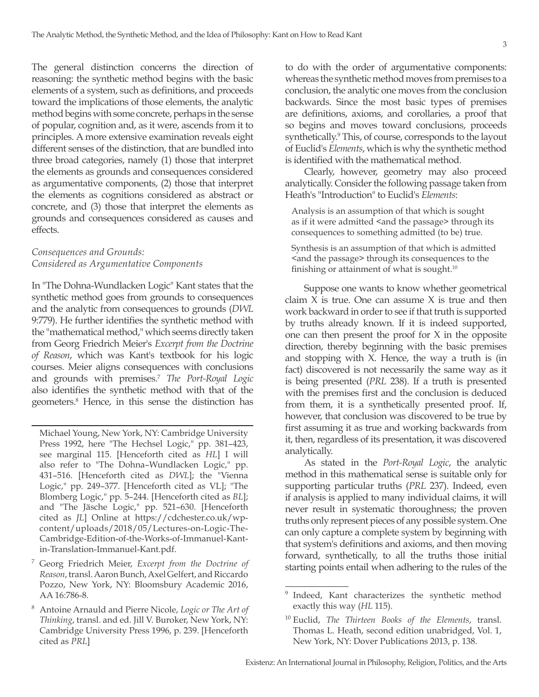The general distinction concerns the direction of reasoning: the synthetic method begins with the basic elements of a system, such as definitions, and proceeds toward the implications of those elements, the analytic method begins with some concrete, perhaps in the sense of popular, cognition and, as it were, ascends from it to principles. A more extensive examination reveals eight different senses of the distinction, that are bundled into three broad categories, namely (1) those that interpret the elements as grounds and consequences considered as argumentative components, (2) those that interpret the elements as cognitions considered as abstract or concrete, and (3) those that interpret the elements as grounds and consequences considered as causes and effects.

# *Consequences and Grounds: Considered as Argumentative Components*

In "The Dohna-Wundlacken Logic" Kant states that the synthetic method goes from grounds to consequences and the analytic from consequences to grounds (*DWL*  9:779). He further identifies the synthetic method with the "mathematical method," which seems directly taken from Georg Friedrich Meier's *Excerpt from the Doctrine of Reason*, which was Kant's textbook for his logic courses. Meier aligns consequences with conclusions and grounds with premises.7 *The Port-Royal Logic*  also identifies the synthetic method with that of the geometers.8 Hence, in this sense the distinction has

Michael Young, New York, NY: Cambridge University Press 1992, here "The Hechsel Logic," pp. 381–423, see marginal 115. [Henceforth cited as *HL*] I will also refer to "The Dohna–Wundlacken Logic," pp. 431–516. [Henceforth cited as *DWL*]; the "Vienna Logic," pp. 249–377. [Henceforth cited as VL]; "The Blomberg Logic," pp. 5–244. [Henceforth cited as *BL*]; and "The Jäsche Logic," pp. 521–630. [Henceforth cited as *JL*] Online at https://cdchester.co.uk/wpcontent/uploads/2018/05/Lectures-on-Logic-The-Cambridge-Edition-of-the-Works-of-Immanuel-Kantin-Translation-Immanuel-Kant.pdf.

- <sup>7</sup> Georg Friedrich Meier, *Excerpt from the Doctrine of Reason*, transl. Aaron Bunch, Axel Gelfert, and Riccardo Pozzo, New York, NY: Bloomsbury Academic 2016, AA 16:786-8.
- <sup>8</sup> Antoine Arnauld and Pierre Nicole, *Logic or The Art of Thinking*, transl. and ed. Jill V. Buroker, New York, NY: Cambridge University Press 1996, p. 239. [Henceforth cited as *PRL*]

to do with the order of argumentative components: whereas the synthetic method moves from premises to a conclusion, the analytic one moves from the conclusion backwards. Since the most basic types of premises are definitions, axioms, and corollaries, a proof that so begins and moves toward conclusions, proceeds synthetically.<sup>9</sup> This, of course, corresponds to the layout of Euclid's *Elements*, which is why the synthetic method is identified with the mathematical method.

Clearly, however, geometry may also proceed analytically. Consider the following passage taken from Heath's "Introduction" to Euclid's *Elements*:

Analysis is an assumption of that which is sought as if it were admitted <and the passage> through its consequences to something admitted (to be) true.

Synthesis is an assumption of that which is admitted <and the passage> through its consequences to the finishing or attainment of what is sought. $10$ 

Suppose one wants to know whether geometrical claim X is true. One can assume X is true and then work backward in order to see if that truth is supported by truths already known. If it is indeed supported, one can then present the proof for X in the opposite direction, thereby beginning with the basic premises and stopping with X. Hence, the way a truth is (in fact) discovered is not necessarily the same way as it is being presented (*PRL* 238). If a truth is presented with the premises first and the conclusion is deduced from them, it is a synthetically presented proof. If, however, that conclusion was discovered to be true by first assuming it as true and working backwards from it, then, regardless of its presentation, it was discovered analytically.

As stated in the *Port-Royal Logic*, the analytic method in this mathematical sense is suitable only for supporting particular truths (*PRL* 237). Indeed, even if analysis is applied to many individual claims, it will never result in systematic thoroughness; the proven truths only represent pieces of any possible system. One can only capture a complete system by beginning with that system's definitions and axioms, and then moving forward, synthetically, to all the truths those initial starting points entail when adhering to the rules of the

<sup>&</sup>lt;sup>9</sup> Indeed, Kant characterizes the synthetic method exactly this way (*HL* 115).

<sup>10</sup> Euclid, *The Thirteen Books of the Elements*, transl. Thomas L. Heath, second edition unabridged, Vol. 1, New York, NY: Dover Publications 2013, p. 138.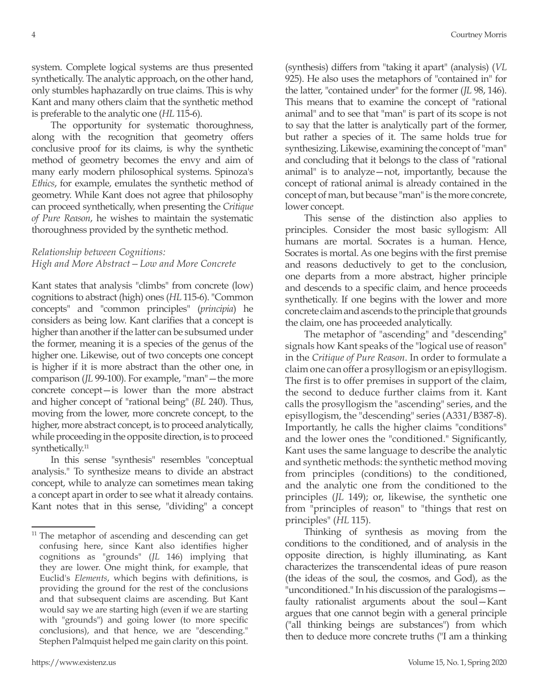system. Complete logical systems are thus presented synthetically. The analytic approach, on the other hand, only stumbles haphazardly on true claims. This is why Kant and many others claim that the synthetic method is preferable to the analytic one (*HL* 115-6).

The opportunity for systematic thoroughness, along with the recognition that geometry offers conclusive proof for its claims, is why the synthetic method of geometry becomes the envy and aim of many early modern philosophical systems. Spinoza's *Ethics*, for example, emulates the synthetic method of geometry. While Kant does not agree that philosophy can proceed synthetically, when presenting the *Critique of Pure Reason*, he wishes to maintain the systematic thoroughness provided by the synthetic method.

## *Relationship between Cognitions: High and More Abstract—Low and More Concrete*

Kant states that analysis "climbs" from concrete (low) cognitions to abstract (high) ones (*HL* 115-6). "Common concepts" and "common principles" (*principia*) he considers as being low. Kant clarifies that a concept is higher than another if the latter can be subsumed under the former, meaning it is a species of the genus of the higher one. Likewise, out of two concepts one concept is higher if it is more abstract than the other one, in comparison (*JL* 99-100). For example, "man"—the more concrete concept—is lower than the more abstract and higher concept of "rational being" (*BL* 240). Thus, moving from the lower, more concrete concept, to the higher, more abstract concept, is to proceed analytically, while proceeding in the opposite direction, is to proceed synthetically.<sup>11</sup>

In this sense "synthesis" resembles "conceptual analysis." To synthesize means to divide an abstract concept, while to analyze can sometimes mean taking a concept apart in order to see what it already contains. Kant notes that in this sense, "dividing" a concept (synthesis) differs from "taking it apart" (analysis) (*VL* 925). He also uses the metaphors of "contained in" for the latter, "contained under" for the former (*JL* 98, 146). This means that to examine the concept of "rational animal" and to see that "man" is part of its scope is not to say that the latter is analytically part of the former, but rather a species of it. The same holds true for synthesizing. Likewise, examining the concept of "man" and concluding that it belongs to the class of "rational animal" is to analyze—not, importantly, because the concept of rational animal is already contained in the concept of man, but because "man" is the more concrete, lower concept.

This sense of the distinction also applies to principles. Consider the most basic syllogism: All humans are mortal. Socrates is a human. Hence, Socrates is mortal. As one begins with the first premise and reasons deductively to get to the conclusion, one departs from a more abstract, higher principle and descends to a specific claim, and hence proceeds synthetically. If one begins with the lower and more concrete claim and ascends to the principle that grounds the claim, one has proceeded analytically.

The metaphor of "ascending" and "descending" signals how Kant speaks of the "logical use of reason" in the *Critique of Pure Reason*. In order to formulate a claim one can offer a prosyllogism or an episyllogism. The first is to offer premises in support of the claim, the second to deduce further claims from it. Kant calls the prosyllogism the "ascending" series, and the episyllogism, the "descending" series (A331/B387-8). Importantly, he calls the higher claims "conditions" and the lower ones the "conditioned." Significantly, Kant uses the same language to describe the analytic and synthetic methods: the synthetic method moving from principles (conditions) to the conditioned, and the analytic one from the conditioned to the principles (*JL* 149); or, likewise, the synthetic one from "principles of reason" to "things that rest on principles" (*HL* 115).

Thinking of synthesis as moving from the conditions to the conditioned, and of analysis in the opposite direction, is highly illuminating, as Kant characterizes the transcendental ideas of pure reason (the ideas of the soul, the cosmos, and God), as the "unconditioned." In his discussion of the paralogisms faulty rationalist arguments about the soul—Kant argues that one cannot begin with a general principle ("all thinking beings are substances") from which then to deduce more concrete truths ("I am a thinking

<sup>&</sup>lt;sup>11</sup> The metaphor of ascending and descending can get confusing here, since Kant also identifies higher cognitions as "grounds" (*JL* 146) implying that they are lower. One might think, for example, that Euclid's *Elements*, which begins with definitions, is providing the ground for the rest of the conclusions and that subsequent claims are ascending. But Kant would say we are starting high (even if we are starting with "grounds") and going lower (to more specific conclusions), and that hence, we are "descending." Stephen Palmquist helped me gain clarity on this point.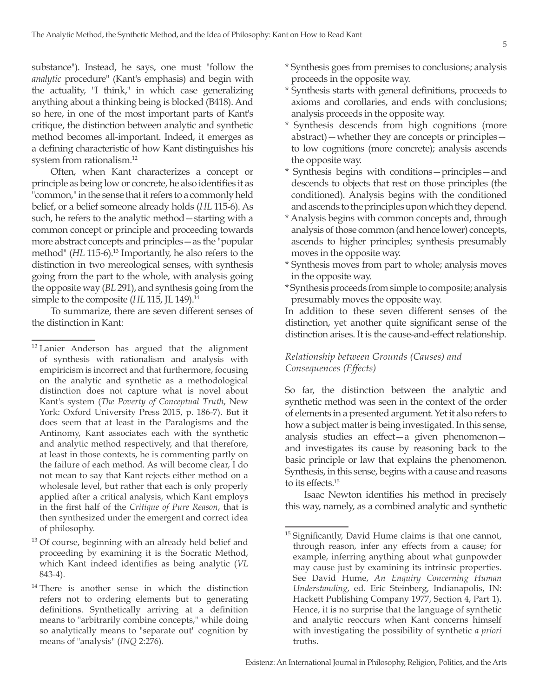substance"). Instead, he says, one must "follow the *analytic* procedure" (Kant's emphasis) and begin with the actuality, "I think," in which case generalizing anything about a thinking being is blocked (B418). And so here, in one of the most important parts of Kant's critique, the distinction between analytic and synthetic method becomes all-important. Indeed, it emerges as a defining characteristic of how Kant distinguishes his system from rationalism.12

Often, when Kant characterizes a concept or principle as being low or concrete, he also identifies it as "common," in the sense that it refers to a commonly held belief, or a belief someone already holds (*HL* 115-6). As such, he refers to the analytic method—starting with a common concept or principle and proceeding towards more abstract concepts and principles—as the "popular method" (*HL* 115-6).<sup>13</sup> Importantly, he also refers to the distinction in two mereological senses, with synthesis going from the part to the whole, with analysis going the opposite way (*BL* 291), and synthesis going from the simple to the composite (*HL* 115, JL 149).<sup>14</sup>

To summarize, there are seven different senses of the distinction in Kant:

- \* Synthesis goes from premises to conclusions; analysis proceeds in the opposite way.
- \* Synthesis starts with general definitions, proceeds to axioms and corollaries, and ends with conclusions; analysis proceeds in the opposite way.
- \* Synthesis descends from high cognitions (more abstract)—whether they are concepts or principles to low cognitions (more concrete); analysis ascends the opposite way.
- \* Synthesis begins with conditions—principles—and descends to objects that rest on those principles (the conditioned). Analysis begins with the conditioned and ascends to the principles upon which they depend.
- \* Analysis begins with common concepts and, through analysis of those common (and hence lower) concepts, ascends to higher principles; synthesis presumably moves in the opposite way.
- \* Synthesis moves from part to whole; analysis moves in the opposite way.
- \* Synthesis proceeds from simple to composite; analysis presumably moves the opposite way.

In addition to these seven different senses of the distinction, yet another quite significant sense of the distinction arises. It is the cause-and-effect relationship.

#### *Relationship between Grounds (Causes) and Consequences (Effects)*

So far, the distinction between the analytic and synthetic method was seen in the context of the order of elements in a presented argument. Yet it also refers to how a subject matter is being investigated. In this sense, analysis studies an effect—a given phenomenon and investigates its cause by reasoning back to the basic principle or law that explains the phenomenon. Synthesis, in this sense, begins with a cause and reasons to its effects.<sup>15</sup>

Isaac Newton identifies his method in precisely this way, namely, as a combined analytic and synthetic

<sup>&</sup>lt;sup>12</sup> Lanier Anderson has argued that the alignment of synthesis with rationalism and analysis with empiricism is incorrect and that furthermore, focusing on the analytic and synthetic as a methodological distinction does not capture what is novel about Kant's system (*The Poverty of Conceptual Truth*, New York: Oxford University Press 2015, p. 186-7). But it does seem that at least in the Paralogisms and the Antinomy, Kant associates each with the synthetic and analytic method respectively, and that therefore, at least in those contexts, he is commenting partly on the failure of each method. As will become clear, I do not mean to say that Kant rejects either method on a wholesale level, but rather that each is only properly applied after a critical analysis, which Kant employs in the first half of the *Critique of Pure Reason*, that is then synthesized under the emergent and correct idea of philosophy.

<sup>&</sup>lt;sup>13</sup> Of course, beginning with an already held belief and proceeding by examining it is the Socratic Method, which Kant indeed identifies as being analytic (*VL* 843-4).

<sup>&</sup>lt;sup>14</sup> There is another sense in which the distinction refers not to ordering elements but to generating definitions. Synthetically arriving at a definition means to "arbitrarily combine concepts," while doing so analytically means to "separate out" cognition by means of "analysis" (*INQ* 2:276).

<sup>&</sup>lt;sup>15</sup> Significantly, David Hume claims is that one cannot, through reason, infer any effects from a cause; for example, inferring anything about what gunpowder may cause just by examining its intrinsic properties. See David Hume, *An Enquiry Concerning Human Understanding*, ed. Eric Steinberg, Indianapolis, IN: Hackett Publishing Company 1977, Section 4, Part 1). Hence, it is no surprise that the language of synthetic and analytic reoccurs when Kant concerns himself with investigating the possibility of synthetic *a priori* truths.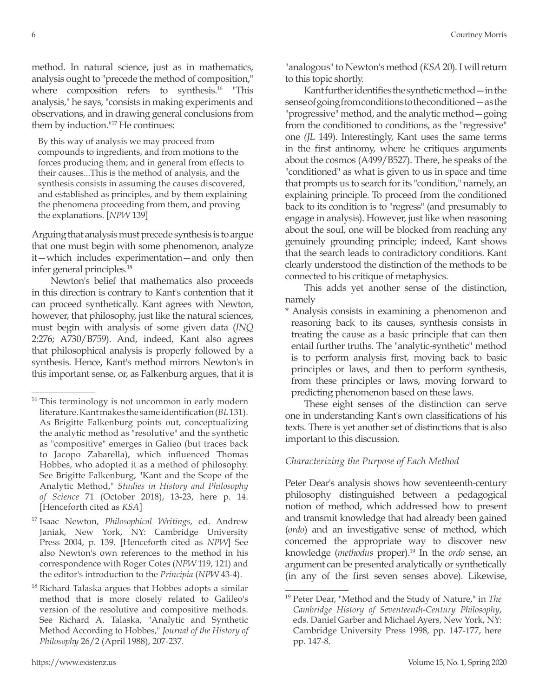method. In natural science, just as in mathematics, analysis ought to "precede the method of composition," where composition refers to synthesis.<sup>16</sup> "This analysis," he says, "consists in making experiments and observations, and in drawing general conclusions from them by induction."17 He continues:

By this way of analysis we may proceed from compounds to ingredients, and from motions to the forces producing them; and in general from effects to their causes...This is the method of analysis, and the synthesis consists in assuming the causes discovered, and established as principles, and by them explaining the phenomena proceeding from them, and proving the explanations. [*NPW* 139]

Arguing that analysis must precede synthesis is to argue that one must begin with some phenomenon, analyze it—which includes experimentation—and only then infer general principles.18

Newton's belief that mathematics also proceeds in this direction is contrary to Kant's contention that it can proceed synthetically. Kant agrees with Newton, however, that philosophy, just like the natural sciences, must begin with analysis of some given data (*INQ* 2:276; A730/B759). And, indeed, Kant also agrees that philosophical analysis is properly followed by a synthesis. Hence, Kant's method mirrors Newton's in this important sense, or, as Falkenburg argues, that it is "analogous" to Newton's method (*KSA* 20). I will return to this topic shortly.

Kant further identifies the synthetic method—in the sense of going from conditions to the conditioned—as the "progressive" method, and the analytic method—going from the conditioned to conditions, as the "regressive" one *(JL* 149). Interestingly, Kant uses the same terms in the first antinomy, where he critiques arguments about the cosmos (A499/B527). There, he speaks of the "conditioned" as what is given to us in space and time that prompts us to search for its "condition," namely, an explaining principle. To proceed from the conditioned back to its condition is to "regress" (and presumably to engage in analysis). However, just like when reasoning about the soul, one will be blocked from reaching any genuinely grounding principle; indeed, Kant shows that the search leads to contradictory conditions. Kant clearly understood the distinction of the methods to be connected to his critique of metaphysics.

This adds yet another sense of the distinction, namely

\* Analysis consists in examining a phenomenon and reasoning back to its causes, synthesis consists in treating the cause as a basic principle that can then entail further truths. The "analytic-synthetic" method is to perform analysis first, moving back to basic principles or laws, and then to perform synthesis, from these principles or laws, moving forward to predicting phenomenon based on these laws.

These eight senses of the distinction can serve one in understanding Kant's own classifications of his texts. There is yet another set of distinctions that is also important to this discussion.

## *Characterizing the Purpose of Each Method*

Peter Dear's analysis shows how seventeenth-century philosophy distinguished between a pedagogical notion of method, which addressed how to present and transmit knowledge that had already been gained (*ordo*) and an investigative sense of method, which concerned the appropriate way to discover new knowledge (*methodus* proper).19 In the *ordo* sense, an argument can be presented analytically or synthetically (in any of the first seven senses above). Likewise,

<sup>&</sup>lt;sup>16</sup> This terminology is not uncommon in early modern literature. Kant makes the same identification (*BL* 131). As Brigitte Falkenburg points out, conceptualizing the analytic method as "resolutive" and the synthetic as "compositive" emerges in Galieo (but traces back to Jacopo Zabarella), which influenced Thomas Hobbes, who adopted it as a method of philosophy. See Brigitte Falkenburg, "Kant and the Scope of the Analytic Method," *Studies in History and Philosophy of Science* 71 (October 2018), 13-23, here p. 14. [Henceforth cited as *KSA*]

<sup>17</sup> Isaac Newton, *Philosophical Writings*, ed. Andrew Janiak, New York, NY: Cambridge University Press 2004, p. 139. [Henceforth cited as *NPW*] See also Newton's own references to the method in his correspondence with Roger Cotes (*NPW* 119, 121) and the editor's introduction to the *Principia* (*NPW* 43-4).

 $18$  Richard Talaska argues that Hobbes adopts a similar method that is more closely related to Galileo's version of the resolutive and compositive methods. See Richard A. Talaska, "Analytic and Synthetic Method According to Hobbes," *Journal of the History of Philosophy* 26/2 (April 1988), 207-237.

<sup>19</sup> Peter Dear, "Method and the Study of Nature," in *The Cambridge History of Seventeenth-Century Philosophy*, eds. Daniel Garber and Michael Ayers, New York, NY: Cambridge University Press 1998, pp. 147-177, here pp. 147-8.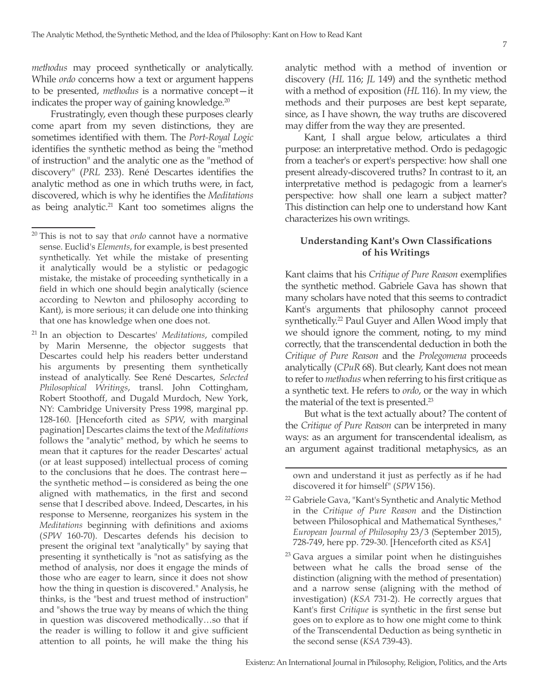*methodus* may proceed synthetically or analytically. While *ordo* concerns how a text or argument happens to be presented, *methodus* is a normative concept—it indicates the proper way of gaining knowledge.<sup>20</sup>

Frustratingly, even though these purposes clearly come apart from my seven distinctions, they are sometimes identified with them. The *Port-Royal Logic*  identifies the synthetic method as being the "method of instruction" and the analytic one as the "method of discovery" (*PRL* 233). René Descartes identifies the analytic method as one in which truths were, in fact, discovered, which is why he identifies the *Meditations*  as being analytic. $21$  Kant too sometimes aligns the analytic method with a method of invention or discovery (*HL* 116; *JL* 149) and the synthetic method with a method of exposition (*HL* 116). In my view, the methods and their purposes are best kept separate, since, as I have shown, the way truths are discovered may differ from the way they are presented.

Kant, I shall argue below, articulates a third purpose: an interpretative method. Ordo is pedagogic from a teacher's or expert's perspective: how shall one present already-discovered truths? In contrast to it, an interpretative method is pedagogic from a learner's perspective: how shall one learn a subject matter? This distinction can help one to understand how Kant characterizes his own writings.

#### **Understanding Kant's Own Classifications of his Writings**

Kant claims that his *Critique of Pure Reason* exemplifies the synthetic method. Gabriele Gava has shown that many scholars have noted that this seems to contradict Kant's arguments that philosophy cannot proceed synthetically.<sup>22</sup> Paul Guyer and Allen Wood imply that we should ignore the comment, noting, to my mind correctly, that the transcendental deduction in both the *Critique of Pure Reason* and the *Prolegomena* proceeds analytically (*CPuR* 68). But clearly, Kant does not mean to refer to *methodus* when referring to his first critique as a synthetic text. He refers to *ordo*, or the way in which the material of the text is presented.<sup>23</sup>

But what is the text actually about? The content of the *Critique of Pure Reason* can be interpreted in many ways: as an argument for transcendental idealism, as an argument against traditional metaphysics, as an

<sup>20</sup> This is not to say that *ordo* cannot have a normative sense. Euclid's *Elements*, for example, is best presented synthetically. Yet while the mistake of presenting it analytically would be a stylistic or pedagogic mistake, the mistake of proceeding synthetically in a field in which one should begin analytically (science according to Newton and philosophy according to Kant), is more serious; it can delude one into thinking that one has knowledge when one does not.

<sup>21</sup> In an objection to Descartes' *Meditations*, compiled by Marin Mersenne, the objector suggests that Descartes could help his readers better understand his arguments by presenting them synthetically instead of analytically. See René Descartes, *Selected Philosophical Writings*, transl. John Cottingham, Robert Stoothoff, and Dugald Murdoch, New York, NY: Cambridge University Press 1998, marginal pp. 128-160. [Henceforth cited as *SPW*, with marginal pagination] Descartes claims the text of the *Meditations* follows the "analytic" method, by which he seems to mean that it captures for the reader Descartes' actual (or at least supposed) intellectual process of coming to the conclusions that he does. The contrast here the synthetic method—is considered as being the one aligned with mathematics, in the first and second sense that I described above. Indeed, Descartes, in his response to Mersenne, reorganizes his system in the *Meditations* beginning with definitions and axioms (*SPW* 160-70). Descartes defends his decision to present the original text "analytically" by saying that presenting it synthetically is "not as satisfying as the method of analysis, nor does it engage the minds of those who are eager to learn, since it does not show how the thing in question is discovered." Analysis, he thinks, is the "best and truest method of instruction" and "shows the true way by means of which the thing in question was discovered methodically…so that if the reader is willing to follow it and give sufficient attention to all points, he will make the thing his

own and understand it just as perfectly as if he had discovered it for himself" (*SPW* 156).

<sup>22</sup> Gabriele Gava, "Kant's Synthetic and Analytic Method in the *Critique of Pure Reason* and the Distinction between Philosophical and Mathematical Syntheses," *European Journal of Philosophy* 23/3 (September 2015), 728-749, here pp. 729-30. [Henceforth cited as *KSA*]

 $23$  Gava argues a similar point when he distinguishes between what he calls the broad sense of the distinction (aligning with the method of presentation) and a narrow sense (aligning with the method of investigation) (*KSA* 731-2). He correctly argues that Kant's first *Critique* is synthetic in the first sense but goes on to explore as to how one might come to think of the Transcendental Deduction as being synthetic in the second sense (*KSA* 739-43).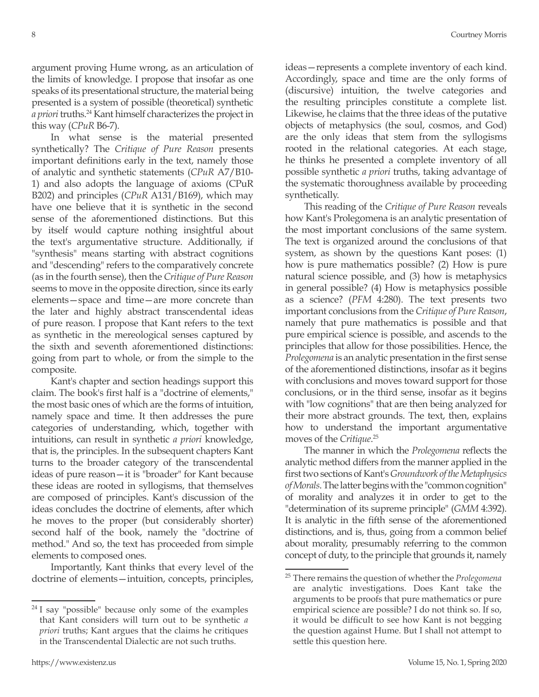argument proving Hume wrong, as an articulation of the limits of knowledge. I propose that insofar as one speaks of its presentational structure, the material being presented is a system of possible (theoretical) synthetic *a priori* truths.24 Kant himself characterizes the project in this way (*CPuR* B6-7).

In what sense is the material presented synthetically? The *Critique of Pure Reason* presents important definitions early in the text, namely those of analytic and synthetic statements (*CPuR* A7/B10- 1) and also adopts the language of axioms (CPuR B202) and principles (*CPuR* A131/B169), which may have one believe that it is synthetic in the second sense of the aforementioned distinctions. But this by itself would capture nothing insightful about the text's argumentative structure. Additionally, if "synthesis" means starting with abstract cognitions and "descending" refers to the comparatively concrete (as in the fourth sense), then the *Critique of Pure Reason*  seems to move in the opposite direction, since its early elements—space and time—are more concrete than the later and highly abstract transcendental ideas of pure reason. I propose that Kant refers to the text as synthetic in the mereological senses captured by the sixth and seventh aforementioned distinctions: going from part to whole, or from the simple to the composite.

Kant's chapter and section headings support this claim. The book's first half is a "doctrine of elements," the most basic ones of which are the forms of intuition, namely space and time. It then addresses the pure categories of understanding, which, together with intuitions, can result in synthetic *a priori* knowledge, that is, the principles. In the subsequent chapters Kant turns to the broader category of the transcendental ideas of pure reason—it is "broader" for Kant because these ideas are rooted in syllogisms, that themselves are composed of principles. Kant's discussion of the ideas concludes the doctrine of elements, after which he moves to the proper (but considerably shorter) second half of the book, namely the "doctrine of method." And so, the text has proceeded from simple elements to composed ones.

Importantly, Kant thinks that every level of the doctrine of elements—intuition, concepts, principles,

ideas—represents a complete inventory of each kind. Accordingly, space and time are the only forms of (discursive) intuition, the twelve categories and the resulting principles constitute a complete list. Likewise, he claims that the three ideas of the putative objects of metaphysics (the soul, cosmos, and God) are the only ideas that stem from the syllogisms rooted in the relational categories. At each stage, he thinks he presented a complete inventory of all possible synthetic *a priori* truths, taking advantage of the systematic thoroughness available by proceeding synthetically.

This reading of the *Critique of Pure Reason* reveals how Kant's Prolegomena is an analytic presentation of the most important conclusions of the same system. The text is organized around the conclusions of that system, as shown by the questions Kant poses: (1) how is pure mathematics possible? (2) How is pure natural science possible, and (3) how is metaphysics in general possible? (4) How is metaphysics possible as a science? (*PFM* 4:280). The text presents two important conclusions from the *Critique of Pure Reason*, namely that pure mathematics is possible and that pure empirical science is possible, and ascends to the principles that allow for those possibilities. Hence, the *Prolegomena* is an analytic presentation in the first sense of the aforementioned distinctions, insofar as it begins with conclusions and moves toward support for those conclusions, or in the third sense, insofar as it begins with "low cognitions" that are then being analyzed for their more abstract grounds. The text, then, explains how to understand the important argumentative moves of the *Critique*. 25

The manner in which the *Prolegomena* reflects the analytic method differs from the manner applied in the first two sections of Kant's *Groundwork of the Metaphysics of Morals*. The latter begins with the "common cognition" of morality and analyzes it in order to get to the "determination of its supreme principle" (*GMM* 4:392). It is analytic in the fifth sense of the aforementioned distinctions, and is, thus, going from a common belief about morality, presumably referring to the common concept of duty, to the principle that grounds it, namely

 $24$  I say "possible" because only some of the examples that Kant considers will turn out to be synthetic *a priori* truths; Kant argues that the claims he critiques in the Transcendental Dialectic are not such truths.

<sup>25</sup> There remains the question of whether the *Prolegomena* are analytic investigations. Does Kant take the arguments to be proofs that pure mathematics or pure empirical science are possible? I do not think so. If so, it would be difficult to see how Kant is not begging the question against Hume. But I shall not attempt to settle this question here.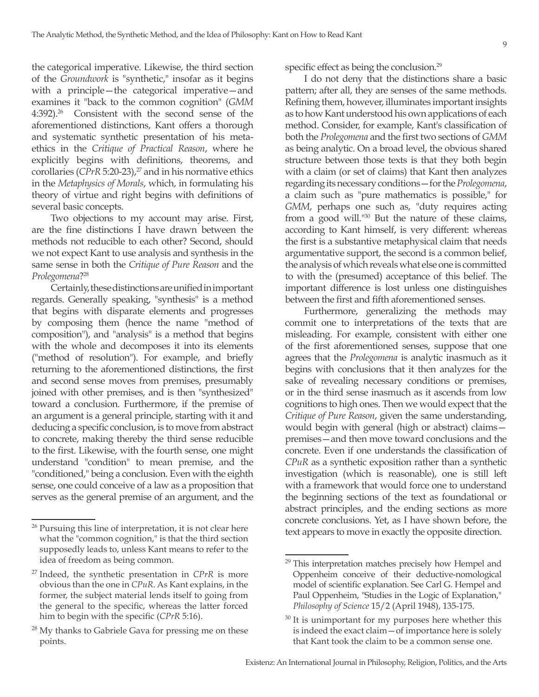the categorical imperative. Likewise, the third section of the *Groundwork* is "synthetic," insofar as it begins with a principle—the categorical imperative—and examines it "back to the common cognition" (*GMM* 4:392).26 Consistent with the second sense of the aforementioned distinctions, Kant offers a thorough and systematic synthetic presentation of his metaethics in the *Critique of Practical Reason*, where he explicitly begins with definitions, theorems, and corollaries ( $CPrR$  5:20-23),<sup>27</sup> and in his normative ethics in the *Metaphysics of Morals*, which, in formulating his theory of virtue and right begins with definitions of several basic concepts.

Two objections to my account may arise. First, are the fine distinctions I have drawn between the methods not reducible to each other? Second, should we not expect Kant to use analysis and synthesis in the same sense in both the *Critique of Pure Reason* and the *Prolegomena*?28

Certainly, these distinctions are unified in important regards. Generally speaking, "synthesis" is a method that begins with disparate elements and progresses by composing them (hence the name "method of composition"), and "analysis" is a method that begins with the whole and decomposes it into its elements ("method of resolution"). For example, and briefly returning to the aforementioned distinctions, the first and second sense moves from premises, presumably joined with other premises, and is then "synthesized" toward a conclusion. Furthermore, if the premise of an argument is a general principle, starting with it and deducing a specific conclusion, is to move from abstract to concrete, making thereby the third sense reducible to the first. Likewise, with the fourth sense, one might understand "condition" to mean premise, and the "conditioned," being a conclusion. Even with the eighth sense, one could conceive of a law as a proposition that serves as the general premise of an argument, and the

specific effect as being the conclusion.<sup>29</sup>

I do not deny that the distinctions share a basic pattern; after all, they are senses of the same methods. Refining them, however, illuminates important insights as to how Kant understood his own applications of each method. Consider, for example, Kant's classification of both the *Prolegomena* and the first two sections of *GMM* as being analytic. On a broad level, the obvious shared structure between those texts is that they both begin with a claim (or set of claims) that Kant then analyzes regarding its necessary conditions—for the *Prolegomena*, a claim such as "pure mathematics is possible," for *GMM*, perhaps one such as, "duty requires acting from a good will."30 But the nature of these claims, according to Kant himself, is very different: whereas the first is a substantive metaphysical claim that needs argumentative support, the second is a common belief, the analysis of which reveals what else one is committed to with the (presumed) acceptance of this belief. The important difference is lost unless one distinguishes between the first and fifth aforementioned senses.

Furthermore, generalizing the methods may commit one to interpretations of the texts that are misleading. For example, consistent with either one of the first aforementioned senses, suppose that one agrees that the *Prolegomena* is analytic inasmuch as it begins with conclusions that it then analyzes for the sake of revealing necessary conditions or premises, or in the third sense inasmuch as it ascends from low cognitions to high ones. Then we would expect that the *Critique of Pure Reason*, given the same understanding, would begin with general (high or abstract) claims premises—and then move toward conclusions and the concrete. Even if one understands the classification of *CPuR* as a synthetic exposition rather than a synthetic investigation (which is reasonable), one is still left with a framework that would force one to understand the beginning sections of the text as foundational or abstract principles, and the ending sections as more concrete conclusions. Yet, as I have shown before, the text appears to move in exactly the opposite direction.

 $26$  Pursuing this line of interpretation, it is not clear here what the "common cognition," is that the third section supposedly leads to, unless Kant means to refer to the idea of freedom as being common.

<sup>27</sup> Indeed, the synthetic presentation in *CPrR* is more obvious than the one in *CPuR*. As Kant explains, in the former, the subject material lends itself to going from the general to the specific, whereas the latter forced him to begin with the specific (*CPrR* 5:16).

 $28$  My thanks to Gabriele Gava for pressing me on these points.

<sup>&</sup>lt;sup>29</sup> This interpretation matches precisely how Hempel and Oppenheim conceive of their deductive-nomological model of scientific explanation. See Carl G. Hempel and Paul Oppenheim, "Studies in the Logic of Explanation," *Philosophy of Science* 15/2 (April 1948), 135-175.

 $30$  It is unimportant for my purposes here whether this is indeed the exact claim—of importance here is solely that Kant took the claim to be a common sense one.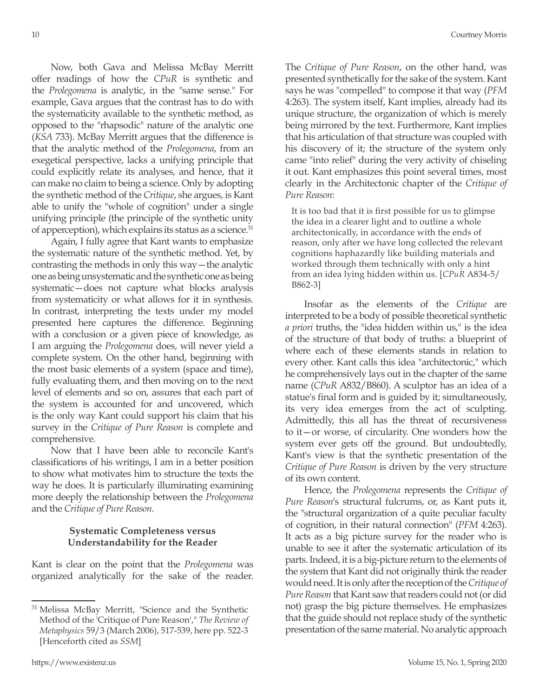Now, both Gava and Melissa McBay Merritt offer readings of how the *CPuR* is synthetic and the *Prolegomena* is analytic, in the "same sense." For example, Gava argues that the contrast has to do with the systematicity available to the synthetic method, as opposed to the "rhapsodic" nature of the analytic one (*KSA* 733). McBay Merritt argues that the difference is that the analytic method of the *Prolegomena*, from an exegetical perspective, lacks a unifying principle that could explicitly relate its analyses, and hence, that it can make no claim to being a science. Only by adopting the synthetic method of the *Critique*, she argues, is Kant able to unify the "whole of cognition" under a single unifying principle (the principle of the synthetic unity of apperception), which explains its status as a science.<sup>31</sup>

Again, I fully agree that Kant wants to emphasize the systematic nature of the synthetic method. Yet, by contrasting the methods in only this way—the analytic one as being unsystematic and the synthetic one as being systematic—does not capture what blocks analysis from systematicity or what allows for it in synthesis. In contrast, interpreting the texts under my model presented here captures the difference. Beginning with a conclusion or a given piece of knowledge, as I am arguing the *Prolegomena* does, will never yield a complete system. On the other hand, beginning with the most basic elements of a system (space and time), fully evaluating them, and then moving on to the next level of elements and so on, assures that each part of the system is accounted for and uncovered, which is the only way Kant could support his claim that his survey in the *Critique of Pure Reason* is complete and comprehensive.

Now that I have been able to reconcile Kant's classifications of his writings, I am in a better position to show what motivates him to structure the texts the way he does. It is particularly illuminating examining more deeply the relationship between the *Prolegomena*  and the *Critique of Pure Reason*.

## **Systematic Completeness versus Understandability for the Reader**

Kant is clear on the point that the *Prolegomena* was organized analytically for the sake of the reader. The *Critique of Pure Reason*, on the other hand, was presented synthetically for the sake of the system. Kant says he was "compelled" to compose it that way (*PFM* 4:263). The system itself, Kant implies, already had its unique structure, the organization of which is merely being mirrored by the text. Furthermore, Kant implies that his articulation of that structure was coupled with his discovery of it; the structure of the system only came "into relief" during the very activity of chiseling it out. Kant emphasizes this point several times, most clearly in the Architectonic chapter of the *Critique of Pure Reason*:

It is too bad that it is first possible for us to glimpse the idea in a clearer light and to outline a whole architectonically, in accordance with the ends of reason, only after we have long collected the relevant cognitions haphazardly like building materials and worked through them technically with only a hint from an idea lying hidden within us. [*CPuR* A834-5/ B862-3]

Insofar as the elements of the *Critique* are interpreted to be a body of possible theoretical synthetic *a priori* truths, the "idea hidden within us," is the idea of the structure of that body of truths: a blueprint of where each of these elements stands in relation to every other. Kant calls this idea "architectonic," which he comprehensively lays out in the chapter of the same name (*CPuR* A832/B860). A sculptor has an idea of a statue's final form and is guided by it; simultaneously, its very idea emerges from the act of sculpting. Admittedly, this all has the threat of recursiveness to it—or worse, of circularity. One wonders how the system ever gets off the ground. But undoubtedly, Kant's view is that the synthetic presentation of the *Critique of Pure Reason* is driven by the very structure of its own content.

Hence, the *Prolegomena* represents the *Critique of Pure Reason*'s structural fulcrums, or, as Kant puts it, the "structural organization of a quite peculiar faculty of cognition, in their natural connection" (*PFM* 4:263). It acts as a big picture survey for the reader who is unable to see it after the systematic articulation of its parts. Indeed, it is a big-picture return to the elements of the system that Kant did not originally think the reader would need. It is only after the reception of the *Critique of Pure Reason* that Kant saw that readers could not (or did not) grasp the big picture themselves. He emphasizes that the guide should not replace study of the synthetic presentation of the same material. No analytic approach

<sup>&</sup>lt;sup>31</sup> Melissa McBay Merritt, "Science and the Synthetic Method of the 'Critique of Pure Reason'," *The Review of Metaphysics* 59/3 (March 2006), 517-539, here pp. 522-3 [Henceforth cited as *SSM*]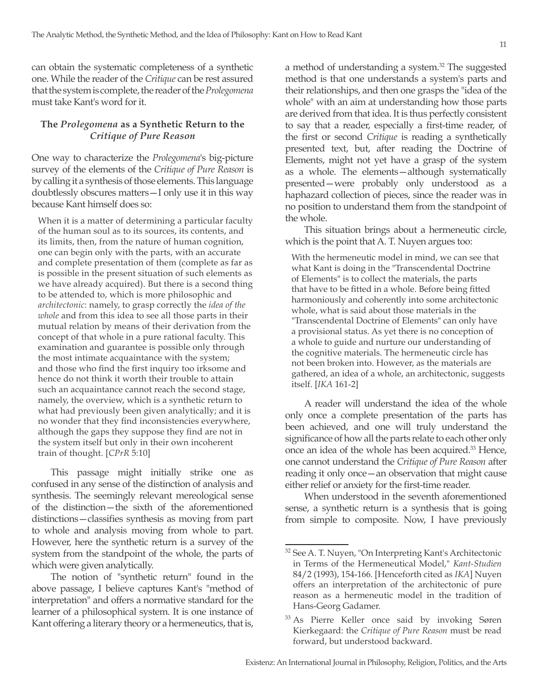can obtain the systematic completeness of a synthetic one. While the reader of the *Critique* can be rest assured that the system is complete, the reader of the *Prolegomena* must take Kant's word for it.

## **The** *Prolegomena* **as a Synthetic Return to the**  *Critique of Pure Reason*

One way to characterize the *Prolegomena*'s big-picture survey of the elements of the *Critique of Pure Reason* is by calling it a synthesis of those elements. This language doubtlessly obscures matters—I only use it in this way because Kant himself does so:

When it is a matter of determining a particular faculty of the human soul as to its sources, its contents, and its limits, then, from the nature of human cognition, one can begin only with the parts, with an accurate and complete presentation of them (complete as far as is possible in the present situation of such elements as we have already acquired). But there is a second thing to be attended to, which is more philosophic and *architectonic*: namely, to grasp correctly the *idea of the whole* and from this idea to see all those parts in their mutual relation by means of their derivation from the concept of that whole in a pure rational faculty. This examination and guarantee is possible only through the most intimate acquaintance with the system; and those who find the first inquiry too irksome and hence do not think it worth their trouble to attain such an acquaintance cannot reach the second stage, namely, the overview, which is a synthetic return to what had previously been given analytically; and it is no wonder that they find inconsistencies everywhere, although the gaps they suppose they find are not in the system itself but only in their own incoherent train of thought. [*CPrR* 5:10]

This passage might initially strike one as confused in any sense of the distinction of analysis and synthesis. The seemingly relevant mereological sense of the distinction—the sixth of the aforementioned distinctions—classifies synthesis as moving from part to whole and analysis moving from whole to part. However, here the synthetic return is a survey of the system from the standpoint of the whole, the parts of which were given analytically.

The notion of "synthetic return" found in the above passage, I believe captures Kant's "method of interpretation" and offers a normative standard for the learner of a philosophical system. It is one instance of Kant offering a literary theory or a hermeneutics, that is, a method of understanding a system.<sup>32</sup> The suggested method is that one understands a system's parts and their relationships, and then one grasps the "idea of the whole" with an aim at understanding how those parts are derived from that idea. It is thus perfectly consistent to say that a reader, especially a first-time reader, of the first or second *Critique* is reading a synthetically presented text, but, after reading the Doctrine of Elements, might not yet have a grasp of the system as a whole. The elements—although systematically presented—were probably only understood as a haphazard collection of pieces, since the reader was in no position to understand them from the standpoint of the whole.

This situation brings about a hermeneutic circle, which is the point that A. T. Nuyen argues too:

With the hermeneutic model in mind, we can see that what Kant is doing in the "Transcendental Doctrine of Elements" is to collect the materials, the parts that have to be fitted in a whole. Before being fitted harmoniously and coherently into some architectonic whole, what is said about those materials in the "Transcendental Doctrine of Elements" can only have a provisional status. As yet there is no conception of a whole to guide and nurture our understanding of the cognitive materials. The hermeneutic circle has not been broken into. However, as the materials are gathered, an idea of a whole, an architectonic, suggests itself. [*IKA* 161-2]

A reader will understand the idea of the whole only once a complete presentation of the parts has been achieved, and one will truly understand the significance of how all the parts relate to each other only once an idea of the whole has been acquired.<sup>33</sup> Hence, one cannot understand the *Critique of Pure Reason* after reading it only once—an observation that might cause either relief or anxiety for the first-time reader.

When understood in the seventh aforementioned sense, a synthetic return is a synthesis that is going from simple to composite. Now, I have previously

<sup>32</sup> See A. T. Nuyen, "On Interpreting Kant's Architectonic in Terms of the Hermeneutical Model," *Kant-Studien* 84/2 (1993), 154-166. [Henceforth cited as *IKA*] Nuyen offers an interpretation of the architectonic of pure reason as a hermeneutic model in the tradition of Hans-Georg Gadamer.

<sup>&</sup>lt;sup>33</sup> As Pierre Keller once said by invoking Søren Kierkegaard: the *Critique of Pure Reason* must be read forward, but understood backward.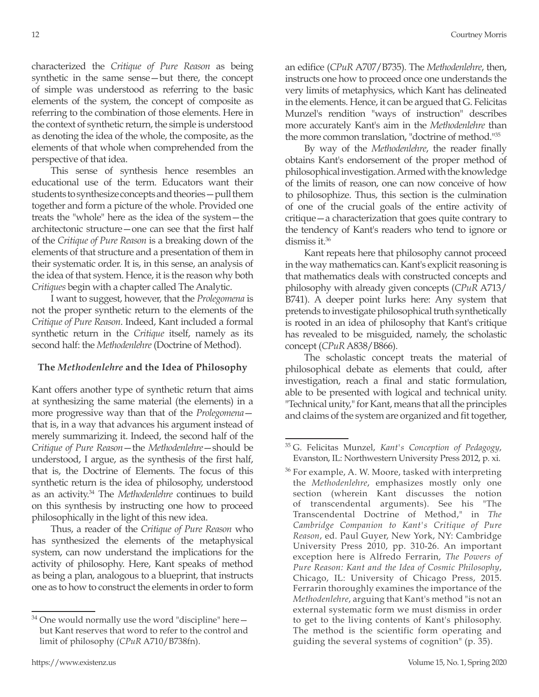characterized the *Critique of Pure Reason* as being synthetic in the same sense—but there, the concept of simple was understood as referring to the basic elements of the system, the concept of composite as referring to the combination of those elements. Here in the context of synthetic return, the simple is understood as denoting the idea of the whole, the composite, as the elements of that whole when comprehended from the perspective of that idea.

This sense of synthesis hence resembles an educational use of the term. Educators want their students to synthesize concepts and theories—pull them together and form a picture of the whole. Provided one treats the "whole" here as the idea of the system—the architectonic structure—one can see that the first half of the *Critique of Pure Reason* is a breaking down of the elements of that structure and a presentation of them in their systematic order. It is, in this sense, an analysis of the idea of that system. Hence, it is the reason why both *Critiques* begin with a chapter called The Analytic.

I want to suggest, however, that the *Prolegomena* is not the proper synthetic return to the elements of the *Critique of Pure Reason*. Indeed, Kant included a formal synthetic return in the *Critique* itself, namely as its second half: the *Methodenlehre* (Doctrine of Method).

## **The** *Methodenlehre* **and the Idea of Philosophy**

Kant offers another type of synthetic return that aims at synthesizing the same material (the elements) in a more progressive way than that of the *Prolegomena* that is, in a way that advances his argument instead of merely summarizing it. Indeed, the second half of the *Critique of Pure Reason*—the *Methodenlehre*—should be understood, I argue, as the synthesis of the first half, that is, the Doctrine of Elements. The focus of this synthetic return is the idea of philosophy, understood as an activity.34 The *Methodenlehre* continues to build on this synthesis by instructing one how to proceed philosophically in the light of this new idea.

Thus, a reader of the *Critique of Pure Reason* who has synthesized the elements of the metaphysical system, can now understand the implications for the activity of philosophy. Here, Kant speaks of method as being a plan, analogous to a blueprint, that instructs one as to how to construct the elements in order to form an edifice (*CPuR* A707/B735). The *Methodenlehre*, then, instructs one how to proceed once one understands the very limits of metaphysics, which Kant has delineated in the elements. Hence, it can be argued that G. Felicitas Munzel's rendition "ways of instruction" describes more accurately Kant's aim in the *Methodenlehre* than the more common translation, "doctrine of method."35

By way of the *Methodenlehre*, the reader finally obtains Kant's endorsement of the proper method of philosophical investigation. Armed with the knowledge of the limits of reason, one can now conceive of how to philosophize. Thus, this section is the culmination of one of the crucial goals of the entire activity of critique—a characterization that goes quite contrary to the tendency of Kant's readers who tend to ignore or dismiss it.36

Kant repeats here that philosophy cannot proceed in the way mathematics can. Kant's explicit reasoning is that mathematics deals with constructed concepts and philosophy with already given concepts (*CPuR* A713/ B741). A deeper point lurks here: Any system that pretends to investigate philosophical truth synthetically is rooted in an idea of philosophy that Kant's critique has revealed to be misguided, namely, the scholastic concept (*CPuR* A838/B866).

The scholastic concept treats the material of philosophical debate as elements that could, after investigation, reach a final and static formulation, able to be presented with logical and technical unity. "Technical unity," for Kant, means that all the principles and claims of the system are organized and fit together,

<sup>34</sup> One would normally use the word "discipline" here but Kant reserves that word to refer to the control and limit of philosophy (*CPuR* A710/B738fn).

<sup>35</sup> G. Felicitas Munzel, *Kant's Conception of Pedagogy*, Evanston, IL: Northwestern University Press 2012, p. xi.

 $36$  For example, A. W. Moore, tasked with interpreting the *Methodenlehre*, emphasizes mostly only one section (wherein Kant discusses the notion of transcendental arguments). See his "The Transcendental Doctrine of Method," in *The Cambridge Companion to Kant's Critique of Pure Reason*, ed. Paul Guyer, New York, NY: Cambridge University Press 2010, pp. 310-26. An important exception here is Alfredo Ferrarin, *The Powers of Pure Reason: Kant and the Idea of Cosmic Philosophy*, Chicago, IL: University of Chicago Press, 2015. Ferrarin thoroughly examines the importance of the *Methodenlehre*, arguing that Kant's method "is not an external systematic form we must dismiss in order to get to the living contents of Kant's philosophy. The method is the scientific form operating and guiding the several systems of cognition" (p. 35).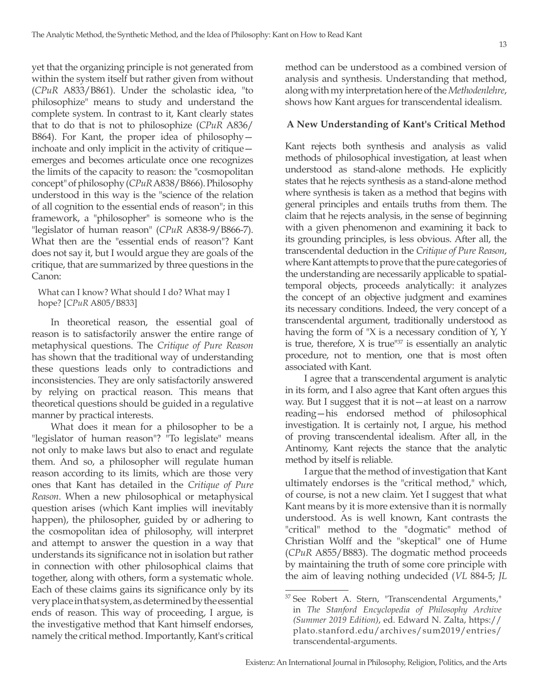yet that the organizing principle is not generated from within the system itself but rather given from without (*CPuR* A833/B861). Under the scholastic idea, "to philosophize" means to study and understand the complete system. In contrast to it, Kant clearly states that to do that is not to philosophize (*CPuR* A836/ B864). For Kant, the proper idea of philosophy inchoate and only implicit in the activity of critique emerges and becomes articulate once one recognizes the limits of the capacity to reason: the "cosmopolitan concept" of philosophy (*CPuR* A838/B866). Philosophy understood in this way is the "science of the relation of all cognition to the essential ends of reason"; in this framework, a "philosopher" is someone who is the "legislator of human reason" (*CPuR* A838-9/B866-7). What then are the "essential ends of reason"? Kant does not say it, but I would argue they are goals of the critique, that are summarized by three questions in the Canon:

What can I know? What should I do? What may I hope? [*CPuR* A805/B833]

In theoretical reason, the essential goal of reason is to satisfactorily answer the entire range of metaphysical questions. The *Critique of Pure Reason* has shown that the traditional way of understanding these questions leads only to contradictions and inconsistencies. They are only satisfactorily answered by relying on practical reason. This means that theoretical questions should be guided in a regulative manner by practical interests.

What does it mean for a philosopher to be a "legislator of human reason"? "To legislate" means not only to make laws but also to enact and regulate them. And so, a philosopher will regulate human reason according to its limits, which are those very ones that Kant has detailed in the *Critique of Pure Reason*. When a new philosophical or metaphysical question arises (which Kant implies will inevitably happen), the philosopher, guided by or adhering to the cosmopolitan idea of philosophy, will interpret and attempt to answer the question in a way that understands its significance not in isolation but rather in connection with other philosophical claims that together, along with others, form a systematic whole. Each of these claims gains its significance only by its very place in that system, as determined by the essential ends of reason. This way of proceeding, I argue, is the investigative method that Kant himself endorses, namely the critical method. Importantly, Kant's critical

method can be understood as a combined version of analysis and synthesis. Understanding that method, along with my interpretation here of the *Methodenlehre*, shows how Kant argues for transcendental idealism.

# **A New Understanding of Kant's Critical Method**

Kant rejects both synthesis and analysis as valid methods of philosophical investigation, at least when understood as stand-alone methods. He explicitly states that he rejects synthesis as a stand-alone method where synthesis is taken as a method that begins with general principles and entails truths from them. The claim that he rejects analysis, in the sense of beginning with a given phenomenon and examining it back to its grounding principles, is less obvious. After all, the transcendental deduction in the *Critique of Pure Reason*, where Kant attempts to prove that the pure categories of the understanding are necessarily applicable to spatialtemporal objects, proceeds analytically: it analyzes the concept of an objective judgment and examines its necessary conditions. Indeed, the very concept of a transcendental argument, traditionally understood as having the form of "X is a necessary condition of Y, Y is true, therefore,  $X$  is true" $37$  is essentially an analytic procedure, not to mention, one that is most often associated with Kant.

I agree that a transcendental argument is analytic in its form, and I also agree that Kant often argues this way. But I suggest that it is not—at least on a narrow reading—his endorsed method of philosophical investigation. It is certainly not, I argue, his method of proving transcendental idealism. After all, in the Antinomy, Kant rejects the stance that the analytic method by itself is reliable.

I argue that the method of investigation that Kant ultimately endorses is the "critical method," which, of course, is not a new claim. Yet I suggest that what Kant means by it is more extensive than it is normally understood. As is well known, Kant contrasts the "critical" method to the "dogmatic" method of Christian Wolff and the "skeptical" one of Hume (*CPuR* A855/B883). The dogmatic method proceeds by maintaining the truth of some core principle with the aim of leaving nothing undecided (*VL* 884-5; *JL*

<sup>37</sup> See Robert A. Stern, "Transcendental Arguments," in *The Stanford Encyclopedia of Philosophy Archive (Summer 2019 Edition)*, ed. Edward N. Zalta, https:// plato.stanford.edu/archives/sum2019/entries/ transcendental-arguments.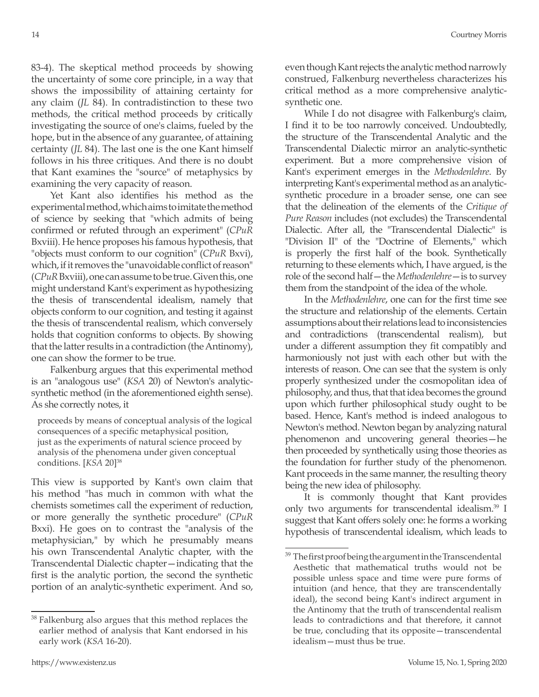83-4). The skeptical method proceeds by showing the uncertainty of some core principle, in a way that shows the impossibility of attaining certainty for any claim (*JL* 84). In contradistinction to these two methods, the critical method proceeds by critically investigating the source of one's claims, fueled by the hope, but in the absence of any guarantee, of attaining certainty (*JL* 84). The last one is the one Kant himself follows in his three critiques. And there is no doubt that Kant examines the "source" of metaphysics by examining the very capacity of reason.

Yet Kant also identifies his method as the experimental method, which aims to imitate the method of science by seeking that "which admits of being confirmed or refuted through an experiment" (*CPuR* Bxviii). He hence proposes his famous hypothesis, that "objects must conform to our cognition" (*CPuR* Bxvi), which, if it removes the "unavoidable conflict of reason" (*CPuR* Bxviii), one can assume to be true. Given this, one might understand Kant's experiment as hypothesizing the thesis of transcendental idealism, namely that objects conform to our cognition, and testing it against the thesis of transcendental realism, which conversely holds that cognition conforms to objects. By showing that the latter results in a contradiction (the Antinomy), one can show the former to be true.

Falkenburg argues that this experimental method is an "analogous use" (*KSA* 20) of Newton's analyticsynthetic method (in the aforementioned eighth sense). As she correctly notes, it

proceeds by means of conceptual analysis of the logical consequences of a specific metaphysical position, just as the experiments of natural science proceed by analysis of the phenomena under given conceptual conditions. [*KSA* 20]38

This view is supported by Kant's own claim that his method "has much in common with what the chemists sometimes call the experiment of reduction, or more generally the synthetic procedure" (*CPuR* Bxxi). He goes on to contrast the "analysis of the metaphysician," by which he presumably means his own Transcendental Analytic chapter, with the Transcendental Dialectic chapter—indicating that the first is the analytic portion, the second the synthetic portion of an analytic-synthetic experiment. And so,

even though Kant rejects the analytic method narrowly construed, Falkenburg nevertheless characterizes his critical method as a more comprehensive analyticsynthetic one.

While I do not disagree with Falkenburg's claim, I find it to be too narrowly conceived. Undoubtedly, the structure of the Transcendental Analytic and the Transcendental Dialectic mirror an analytic-synthetic experiment. But a more comprehensive vision of Kant's experiment emerges in the *Methodenlehre*. By interpreting Kant's experimental method as an analyticsynthetic procedure in a broader sense, one can see that the delineation of the elements of the *Critique of Pure Reason* includes (not excludes) the Transcendental Dialectic. After all, the "Transcendental Dialectic" is "Division II" of the "Doctrine of Elements," which is properly the first half of the book. Synthetically returning to these elements which, I have argued, is the role of the second half—the *Methodenlehre*—is to survey them from the standpoint of the idea of the whole.

In the *Methodenlehre*, one can for the first time see the structure and relationship of the elements. Certain assumptions about their relations lead to inconsistencies and contradictions (transcendental realism), but under a different assumption they fit compatibly and harmoniously not just with each other but with the interests of reason. One can see that the system is only properly synthesized under the cosmopolitan idea of philosophy, and thus, that that idea becomes the ground upon which further philosophical study ought to be based. Hence, Kant's method is indeed analogous to Newton's method. Newton began by analyzing natural phenomenon and uncovering general theories—he then proceeded by synthetically using those theories as the foundation for further study of the phenomenon. Kant proceeds in the same manner, the resulting theory being the new idea of philosophy.

It is commonly thought that Kant provides only two arguments for transcendental idealism.39 I suggest that Kant offers solely one: he forms a working hypothesis of transcendental idealism, which leads to

<sup>38</sup> Falkenburg also argues that this method replaces the earlier method of analysis that Kant endorsed in his early work (*KSA* 16-20).

<sup>&</sup>lt;sup>39</sup> The first proof being the argument in the Transcendental Aesthetic that mathematical truths would not be possible unless space and time were pure forms of intuition (and hence, that they are transcendentally ideal), the second being Kant's indirect argument in the Antinomy that the truth of transcendental realism leads to contradictions and that therefore, it cannot be true, concluding that its opposite—transcendental idealism—must thus be true.